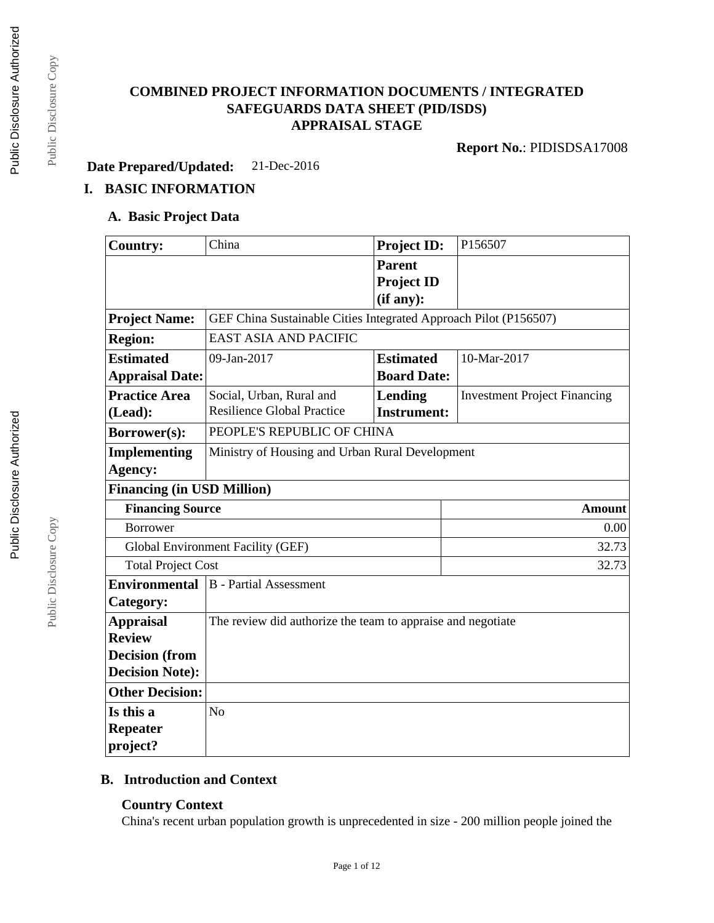# **COMBINED PROJECT INFORMATION DOCUMENTS / INTEGRATED SAFEGUARDS DATA SHEET (PID/ISDS) APPRAISAL STAGE**

**Report No.**: PIDISDSA17008

**Date Prepared/Updated:** 21-Dec-2016

## **I. BASIC INFORMATION**

#### **A. Basic Project Data**

| <b>Country:</b>                                                                                                                               | China                                                                         | Project ID:                                     | P156507                             |  |  |
|-----------------------------------------------------------------------------------------------------------------------------------------------|-------------------------------------------------------------------------------|-------------------------------------------------|-------------------------------------|--|--|
|                                                                                                                                               |                                                                               | <b>Parent</b><br><b>Project ID</b><br>(if any): |                                     |  |  |
| <b>Project Name:</b>                                                                                                                          | GEF China Sustainable Cities Integrated Approach Pilot (P156507)              |                                                 |                                     |  |  |
| <b>Region:</b>                                                                                                                                | <b>EAST ASIA AND PACIFIC</b>                                                  |                                                 |                                     |  |  |
| <b>Estimated</b><br><b>Appraisal Date:</b>                                                                                                    | 09-Jan-2017                                                                   | <b>Estimated</b><br><b>Board Date:</b>          | 10-Mar-2017                         |  |  |
| <b>Practice Area</b><br>(Lead):                                                                                                               | Social, Urban, Rural and<br><b>Resilience Global Practice</b>                 | Lending<br><b>Instrument:</b>                   | <b>Investment Project Financing</b> |  |  |
| Borrower(s):                                                                                                                                  | PEOPLE'S REPUBLIC OF CHINA                                                    |                                                 |                                     |  |  |
| Implementing                                                                                                                                  | Ministry of Housing and Urban Rural Development                               |                                                 |                                     |  |  |
| Agency:                                                                                                                                       |                                                                               |                                                 |                                     |  |  |
| <b>Financing (in USD Million)</b>                                                                                                             |                                                                               |                                                 |                                     |  |  |
|                                                                                                                                               | <b>Financing Source</b><br><b>Amount</b>                                      |                                                 |                                     |  |  |
| <b>Borrower</b>                                                                                                                               |                                                                               |                                                 |                                     |  |  |
|                                                                                                                                               | 32.73<br><b>Global Environment Facility (GEF)</b>                             |                                                 |                                     |  |  |
|                                                                                                                                               | <b>Total Project Cost</b><br>32.73                                            |                                                 |                                     |  |  |
| <b>Environmental</b><br>Category:                                                                                                             | <b>B</b> - Partial Assessment                                                 |                                                 |                                     |  |  |
| <b>Appraisal</b><br><b>Review</b><br><b>Decision</b> (from<br><b>Decision Note:</b><br><b>Other Decision:</b><br>Is this a<br><b>Repeater</b> | The review did authorize the team to appraise and negotiate<br>N <sub>o</sub> |                                                 |                                     |  |  |
| project?                                                                                                                                      |                                                                               |                                                 |                                     |  |  |

## **B. Introduction and Context**

#### **Country Context**

China's recent urban population growth is unprecedented in size - 200 million people joined the

Public Disclosure Copy

Public Disclosure Copy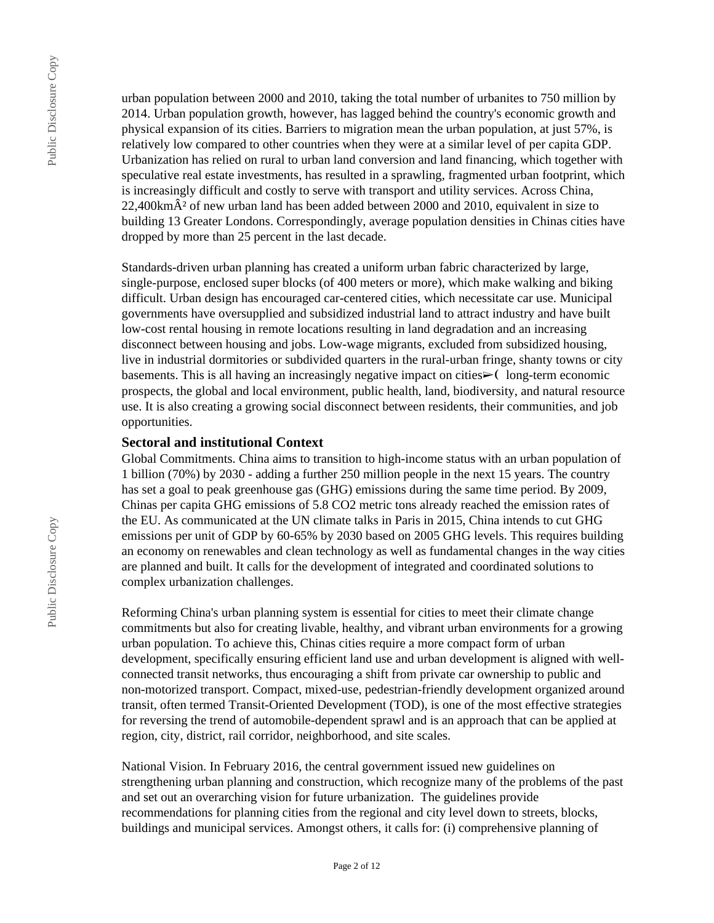urban population between 2000 and 2010, taking the total number of urbanites to 750 million by 2014. Urban population growth, however, has lagged behind the country's economic growth and physical expansion of its cities. Barriers to migration mean the urban population, at just 57%, is relatively low compared to other countries when they were at a similar level of per capita GDP. Urbanization has relied on rural to urban land conversion and land financing, which together with speculative real estate investments, has resulted in a sprawling, fragmented urban footprint, which is increasingly difficult and costly to serve with transport and utility services. Across China,  $22,400$ km $\hat{A}^2$  of new urban land has been added between 2000 and 2010, equivalent in size to building 13 Greater Londons. Correspondingly, average population densities in Chinas cities have dropped by more than 25 percent in the last decade.

Standards-driven urban planning has created a uniform urban fabric characterized by large, single-purpose, enclosed super blocks (of 400 meters or more), which make walking and biking difficult. Urban design has encouraged car-centered cities, which necessitate car use. Municipal governments have oversupplied and subsidized industrial land to attract industry and have built low-cost rental housing in remote locations resulting in land degradation and an increasing disconnect between housing and jobs. Low-wage migrants, excluded from subsidized housing, live in industrial dormitories or subdivided quarters in the rural-urban fringe, shanty towns or city basements. This is all having an increasingly negative impact on cities $\geq$  (long-term economic prospects, the global and local environment, public health, land, biodiversity, and natural resource use. It is also creating a growing social disconnect between residents, their communities, and job opportunities.

#### **Sectoral and institutional Context**

Global Commitments. China aims to transition to high-income status with an urban population of 1 billion (70%) by 2030 - adding a further 250 million people in the next 15 years. The country has set a goal to peak greenhouse gas (GHG) emissions during the same time period. By 2009, Chinas per capita GHG emissions of 5.8 CO2 metric tons already reached the emission rates of the EU. As communicated at the UN climate talks in Paris in 2015, China intends to cut GHG emissions per unit of GDP by 60-65% by 2030 based on 2005 GHG levels. This requires building an economy on renewables and clean technology as well as fundamental changes in the way cities are planned and built. It calls for the development of integrated and coordinated solutions to complex urbanization challenges.

Reforming China's urban planning system is essential for cities to meet their climate change commitments but also for creating livable, healthy, and vibrant urban environments for a growing urban population. To achieve this, Chinas cities require a more compact form of urban development, specifically ensuring efficient land use and urban development is aligned with wellconnected transit networks, thus encouraging a shift from private car ownership to public and non-motorized transport. Compact, mixed-use, pedestrian-friendly development organized around transit, often termed Transit-Oriented Development (TOD), is one of the most effective strategies for reversing the trend of automobile-dependent sprawl and is an approach that can be applied at region, city, district, rail corridor, neighborhood, and site scales.

National Vision. In February 2016, the central government issued new guidelines on strengthening urban planning and construction, which recognize many of the problems of the past and set out an overarching vision for future urbanization. The guidelines provide recommendations for planning cities from the regional and city level down to streets, blocks, buildings and municipal services. Amongst others, it calls for: (i) comprehensive planning of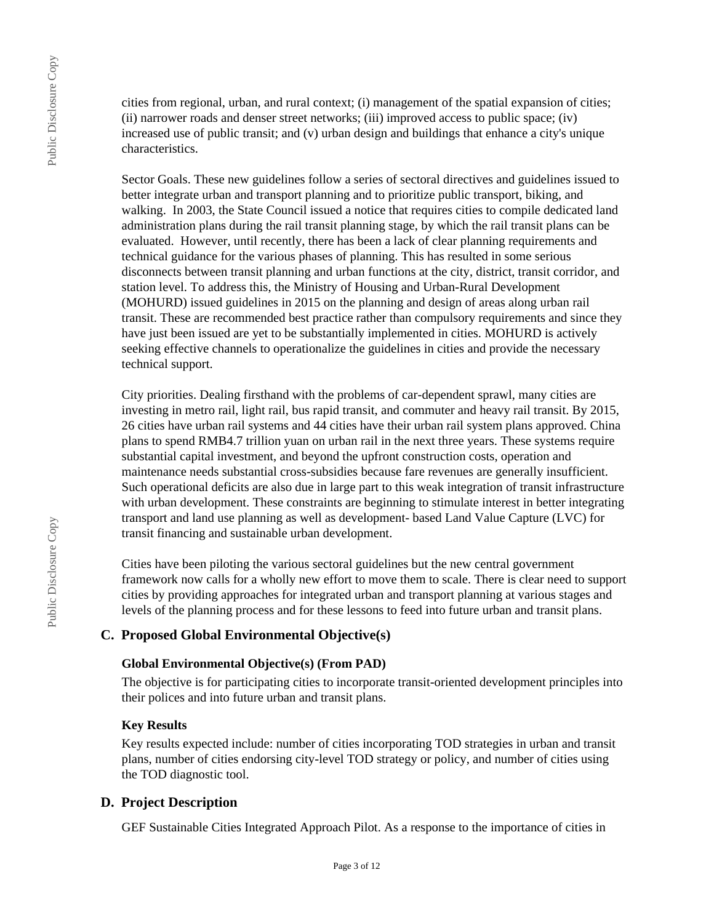cities from regional, urban, and rural context; (i) management of the spatial expansion of cities; (ii) narrower roads and denser street networks; (iii) improved access to public space; (iv) increased use of public transit; and (v) urban design and buildings that enhance a city's unique characteristics.

Sector Goals. These new guidelines follow a series of sectoral directives and guidelines issued to better integrate urban and transport planning and to prioritize public transport, biking, and walking. In 2003, the State Council issued a notice that requires cities to compile dedicated land administration plans during the rail transit planning stage, by which the rail transit plans can be evaluated. However, until recently, there has been a lack of clear planning requirements and technical guidance for the various phases of planning. This has resulted in some serious disconnects between transit planning and urban functions at the city, district, transit corridor, and station level. To address this, the Ministry of Housing and Urban-Rural Development (MOHURD) issued guidelines in 2015 on the planning and design of areas along urban rail transit. These are recommended best practice rather than compulsory requirements and since they have just been issued are yet to be substantially implemented in cities. MOHURD is actively seeking effective channels to operationalize the guidelines in cities and provide the necessary technical support.

City priorities. Dealing firsthand with the problems of car-dependent sprawl, many cities are investing in metro rail, light rail, bus rapid transit, and commuter and heavy rail transit. By 2015, 26 cities have urban rail systems and 44 cities have their urban rail system plans approved. China plans to spend RMB4.7 trillion yuan on urban rail in the next three years. These systems require substantial capital investment, and beyond the upfront construction costs, operation and maintenance needs substantial cross-subsidies because fare revenues are generally insufficient. Such operational deficits are also due in large part to this weak integration of transit infrastructure with urban development. These constraints are beginning to stimulate interest in better integrating transport and land use planning as well as development- based Land Value Capture (LVC) for transit financing and sustainable urban development.

Cities have been piloting the various sectoral guidelines but the new central government framework now calls for a wholly new effort to move them to scale. There is clear need to support cities by providing approaches for integrated urban and transport planning at various stages and levels of the planning process and for these lessons to feed into future urban and transit plans.

## **C. Proposed Global Environmental Objective(s)**

#### **Global Environmental Objective(s) (From PAD)**

The objective is for participating cities to incorporate transit-oriented development principles into their polices and into future urban and transit plans.

#### **Key Results**

Key results expected include: number of cities incorporating TOD strategies in urban and transit plans, number of cities endorsing city-level TOD strategy or policy, and number of cities using the TOD diagnostic tool.

#### **D. Project Description**

GEF Sustainable Cities Integrated Approach Pilot. As a response to the importance of cities in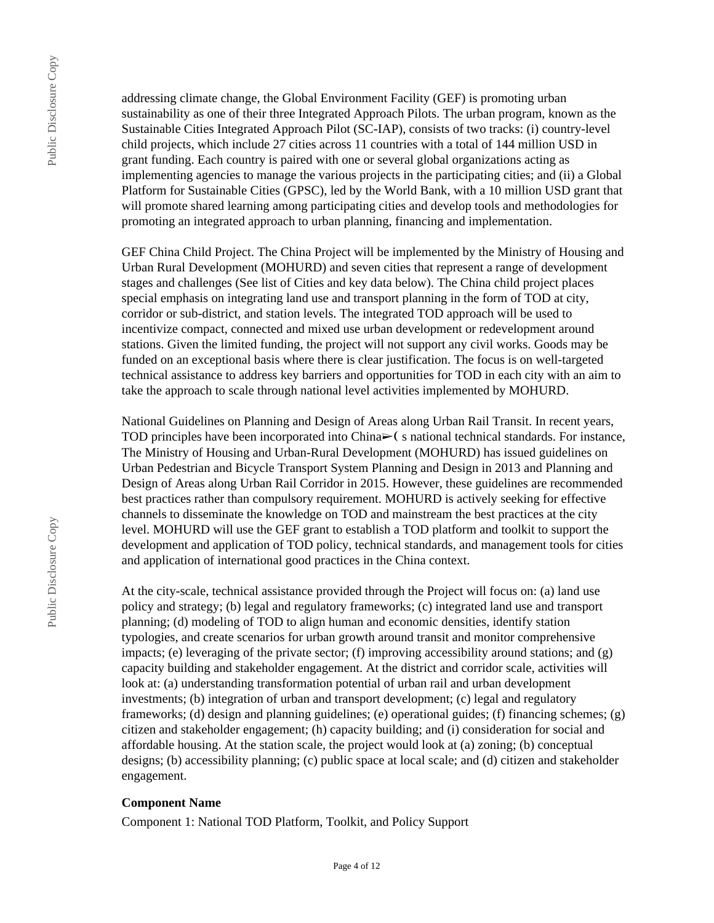addressing climate change, the Global Environment Facility (GEF) is promoting urban sustainability as one of their three Integrated Approach Pilots. The urban program, known as the Sustainable Cities Integrated Approach Pilot (SC-IAP), consists of two tracks: (i) country-level child projects, which include 27 cities across 11 countries with a total of 144 million USD in grant funding. Each country is paired with one or several global organizations acting as implementing agencies to manage the various projects in the participating cities; and (ii) a Global Platform for Sustainable Cities (GPSC), led by the World Bank, with a 10 million USD grant that will promote shared learning among participating cities and develop tools and methodologies for promoting an integrated approach to urban planning, financing and implementation.

GEF China Child Project. The China Project will be implemented by the Ministry of Housing and Urban Rural Development (MOHURD) and seven cities that represent a range of development stages and challenges (See list of Cities and key data below). The China child project places special emphasis on integrating land use and transport planning in the form of TOD at city, corridor or sub-district, and station levels. The integrated TOD approach will be used to incentivize compact, connected and mixed use urban development or redevelopment around stations. Given the limited funding, the project will not support any civil works. Goods may be funded on an exceptional basis where there is clear justification. The focus is on well-targeted technical assistance to address key barriers and opportunities for TOD in each city with an aim to take the approach to scale through national level activities implemented by MOHURD.

National Guidelines on Planning and Design of Areas along Urban Rail Transit. In recent years, TOD principles have been incorporated into China $\geq$  (s national technical standards. For instance, The Ministry of Housing and Urban-Rural Development (MOHURD) has issued guidelines on Urban Pedestrian and Bicycle Transport System Planning and Design in 2013 and Planning and Design of Areas along Urban Rail Corridor in 2015. However, these guidelines are recommended best practices rather than compulsory requirement. MOHURD is actively seeking for effective channels to disseminate the knowledge on TOD and mainstream the best practices at the city level. MOHURD will use the GEF grant to establish a TOD platform and toolkit to support the development and application of TOD policy, technical standards, and management tools for cities and application of international good practices in the China context.

At the city-scale, technical assistance provided through the Project will focus on: (a) land use policy and strategy; (b) legal and regulatory frameworks; (c) integrated land use and transport planning; (d) modeling of TOD to align human and economic densities, identify station typologies, and create scenarios for urban growth around transit and monitor comprehensive impacts; (e) leveraging of the private sector; (f) improving accessibility around stations; and  $(g)$ capacity building and stakeholder engagement. At the district and corridor scale, activities will look at: (a) understanding transformation potential of urban rail and urban development investments; (b) integration of urban and transport development; (c) legal and regulatory frameworks; (d) design and planning guidelines; (e) operational guides; (f) financing schemes; (g) citizen and stakeholder engagement; (h) capacity building; and (i) consideration for social and affordable housing. At the station scale, the project would look at (a) zoning; (b) conceptual designs; (b) accessibility planning; (c) public space at local scale; and (d) citizen and stakeholder engagement.

#### **Component Name**

Component 1: National TOD Platform, Toolkit, and Policy Support

Public Disclosure Copy

Public Disclosure Copy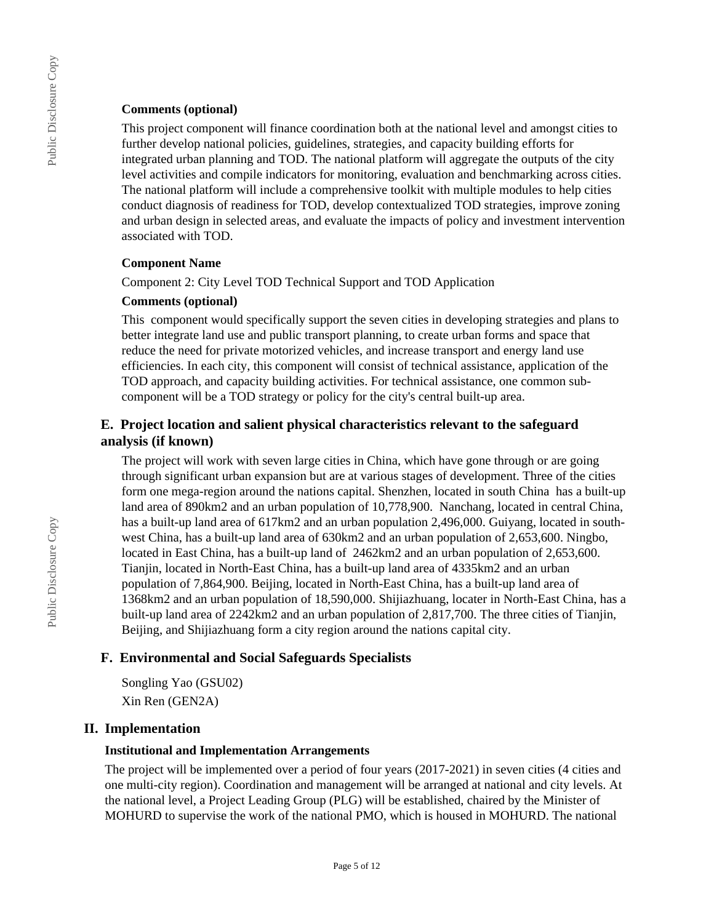#### **Comments (optional)**

This project component will finance coordination both at the national level and amongst cities to further develop national policies, guidelines, strategies, and capacity building efforts for integrated urban planning and TOD. The national platform will aggregate the outputs of the city level activities and compile indicators for monitoring, evaluation and benchmarking across cities. The national platform will include a comprehensive toolkit with multiple modules to help cities conduct diagnosis of readiness for TOD, develop contextualized TOD strategies, improve zoning and urban design in selected areas, and evaluate the impacts of policy and investment intervention associated with TOD.

#### **Component Name**

Component 2: City Level TOD Technical Support and TOD Application

#### **Comments (optional)**

This component would specifically support the seven cities in developing strategies and plans to better integrate land use and public transport planning, to create urban forms and space that reduce the need for private motorized vehicles, and increase transport and energy land use efficiencies. In each city, this component will consist of technical assistance, application of the TOD approach, and capacity building activities. For technical assistance, one common subcomponent will be a TOD strategy or policy for the city's central built-up area.

## **E. Project location and salient physical characteristics relevant to the safeguard analysis (if known)**

The project will work with seven large cities in China, which have gone through or are going through significant urban expansion but are at various stages of development. Three of the cities form one mega-region around the nations capital. Shenzhen, located in south China has a built-up land area of 890km2 and an urban population of 10,778,900. Nanchang, located in central China, has a built-up land area of 617km2 and an urban population 2,496,000. Guiyang, located in southwest China, has a built-up land area of 630km2 and an urban population of 2,653,600. Ningbo, located in East China, has a built-up land of 2462km2 and an urban population of 2,653,600. Tianjin, located in North-East China, has a built-up land area of 4335km2 and an urban population of 7,864,900. Beijing, located in North-East China, has a built-up land area of 1368km2 and an urban population of 18,590,000. Shijiazhuang, locater in North-East China, has a built-up land area of 2242km2 and an urban population of 2,817,700. The three cities of Tianjin, Beijing, and Shijiazhuang form a city region around the nations capital city.

## **F. Environmental and Social Safeguards Specialists**

Songling Yao (GSU02) Xin Ren (GEN2A)

## **II. Implementation**

#### **Institutional and Implementation Arrangements**

The project will be implemented over a period of four years (2017-2021) in seven cities (4 cities and one multi-city region). Coordination and management will be arranged at national and city levels. At the national level, a Project Leading Group (PLG) will be established, chaired by the Minister of MOHURD to supervise the work of the national PMO, which is housed in MOHURD. The national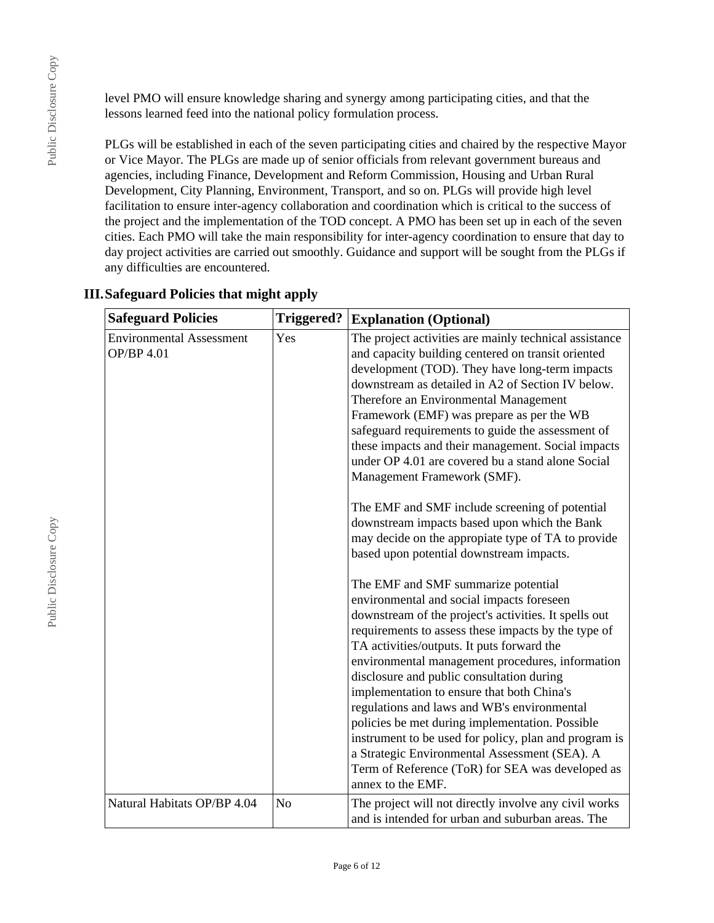level PMO will ensure knowledge sharing and synergy among participating cities, and that the lessons learned feed into the national policy formulation process.

PLGs will be established in each of the seven participating cities and chaired by the respective Mayor or Vice Mayor. The PLGs are made up of senior officials from relevant government bureaus and agencies, including Finance, Development and Reform Commission, Housing and Urban Rural Development, City Planning, Environment, Transport, and so on. PLGs will provide high level facilitation to ensure inter-agency collaboration and coordination which is critical to the success of the project and the implementation of the TOD concept. A PMO has been set up in each of the seven cities. Each PMO will take the main responsibility for inter-agency coordination to ensure that day to day project activities are carried out smoothly. Guidance and support will be sought from the PLGs if any difficulties are encountered.

| <b>Safeguard Policies</b>                            | <b>Triggered?</b> | <b>Explanation (Optional)</b>                                                                                                                                                                                                                                                                                                                                                                                                                                                                                                                                                                                                                                                                                |
|------------------------------------------------------|-------------------|--------------------------------------------------------------------------------------------------------------------------------------------------------------------------------------------------------------------------------------------------------------------------------------------------------------------------------------------------------------------------------------------------------------------------------------------------------------------------------------------------------------------------------------------------------------------------------------------------------------------------------------------------------------------------------------------------------------|
| <b>Environmental Assessment</b><br><b>OP/BP 4.01</b> | Yes               | The project activities are mainly technical assistance<br>and capacity building centered on transit oriented<br>development (TOD). They have long-term impacts<br>downstream as detailed in A2 of Section IV below.<br>Therefore an Environmental Management<br>Framework (EMF) was prepare as per the WB<br>safeguard requirements to guide the assessment of<br>these impacts and their management. Social impacts<br>under OP 4.01 are covered bu a stand alone Social<br>Management Framework (SMF).<br>The EMF and SMF include screening of potential<br>downstream impacts based upon which the Bank<br>may decide on the appropiate type of TA to provide<br>based upon potential downstream impacts. |
|                                                      |                   | The EMF and SMF summarize potential<br>environmental and social impacts foreseen<br>downstream of the project's activities. It spells out<br>requirements to assess these impacts by the type of<br>TA activities/outputs. It puts forward the<br>environmental management procedures, information<br>disclosure and public consultation during<br>implementation to ensure that both China's<br>regulations and laws and WB's environmental<br>policies be met during implementation. Possible<br>instrument to be used for policy, plan and program is<br>a Strategic Environmental Assessment (SEA). A<br>Term of Reference (ToR) for SEA was developed as<br>annex to the EMF.                           |
| Natural Habitats OP/BP 4.04                          | N <sub>o</sub>    | The project will not directly involve any civil works<br>and is intended for urban and suburban areas. The                                                                                                                                                                                                                                                                                                                                                                                                                                                                                                                                                                                                   |

## **III.Safeguard Policies that might apply**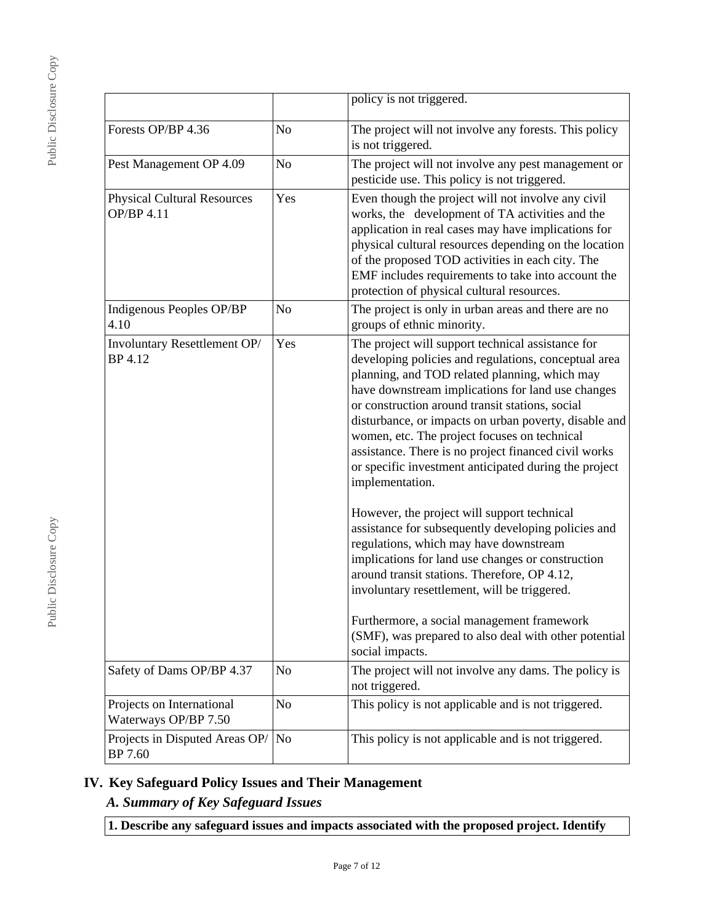Public Disclosure Copy Public Disclosure Copy

|                                                   |                | policy is not triggered.                                                                                                                                                                                                                                                                                                                                                                                                                                                                                                                                                                                                                                                                                                                                                                                                                                                                                                                       |  |
|---------------------------------------------------|----------------|------------------------------------------------------------------------------------------------------------------------------------------------------------------------------------------------------------------------------------------------------------------------------------------------------------------------------------------------------------------------------------------------------------------------------------------------------------------------------------------------------------------------------------------------------------------------------------------------------------------------------------------------------------------------------------------------------------------------------------------------------------------------------------------------------------------------------------------------------------------------------------------------------------------------------------------------|--|
| Forests OP/BP 4.36                                | N <sub>o</sub> | The project will not involve any forests. This policy<br>is not triggered.                                                                                                                                                                                                                                                                                                                                                                                                                                                                                                                                                                                                                                                                                                                                                                                                                                                                     |  |
| Pest Management OP 4.09                           | N <sub>o</sub> | The project will not involve any pest management or<br>pesticide use. This policy is not triggered.                                                                                                                                                                                                                                                                                                                                                                                                                                                                                                                                                                                                                                                                                                                                                                                                                                            |  |
| <b>Physical Cultural Resources</b><br>OP/BP 4.11  | Yes            | Even though the project will not involve any civil<br>works, the development of TA activities and the<br>application in real cases may have implications for<br>physical cultural resources depending on the location<br>of the proposed TOD activities in each city. The<br>EMF includes requirements to take into account the<br>protection of physical cultural resources.                                                                                                                                                                                                                                                                                                                                                                                                                                                                                                                                                                  |  |
| Indigenous Peoples OP/BP<br>4.10                  | N <sub>o</sub> | The project is only in urban areas and there are no<br>groups of ethnic minority.                                                                                                                                                                                                                                                                                                                                                                                                                                                                                                                                                                                                                                                                                                                                                                                                                                                              |  |
| Involuntary Resettlement OP/<br>BP 4.12           | Yes            | The project will support technical assistance for<br>developing policies and regulations, conceptual area<br>planning, and TOD related planning, which may<br>have downstream implications for land use changes<br>or construction around transit stations, social<br>disturbance, or impacts on urban poverty, disable and<br>women, etc. The project focuses on technical<br>assistance. There is no project financed civil works<br>or specific investment anticipated during the project<br>implementation.<br>However, the project will support technical<br>assistance for subsequently developing policies and<br>regulations, which may have downstream<br>implications for land use changes or construction<br>around transit stations. Therefore, OP 4.12,<br>involuntary resettlement, will be triggered.<br>Furthermore, a social management framework<br>(SMF), was prepared to also deal with other potential<br>social impacts. |  |
| Safety of Dams OP/BP 4.37                         | N <sub>o</sub> | The project will not involve any dams. The policy is<br>not triggered.                                                                                                                                                                                                                                                                                                                                                                                                                                                                                                                                                                                                                                                                                                                                                                                                                                                                         |  |
| Projects on International<br>Waterways OP/BP 7.50 | N <sub>o</sub> | This policy is not applicable and is not triggered.                                                                                                                                                                                                                                                                                                                                                                                                                                                                                                                                                                                                                                                                                                                                                                                                                                                                                            |  |
| Projects in Disputed Areas OP/<br>BP 7.60         | No             | This policy is not applicable and is not triggered.                                                                                                                                                                                                                                                                                                                                                                                                                                                                                                                                                                                                                                                                                                                                                                                                                                                                                            |  |

# **IV. Key Safeguard Policy Issues and Their Management**

# *A. Summary of Key Safeguard Issues*

**1. Describe any safeguard issues and impacts associated with the proposed project. Identify**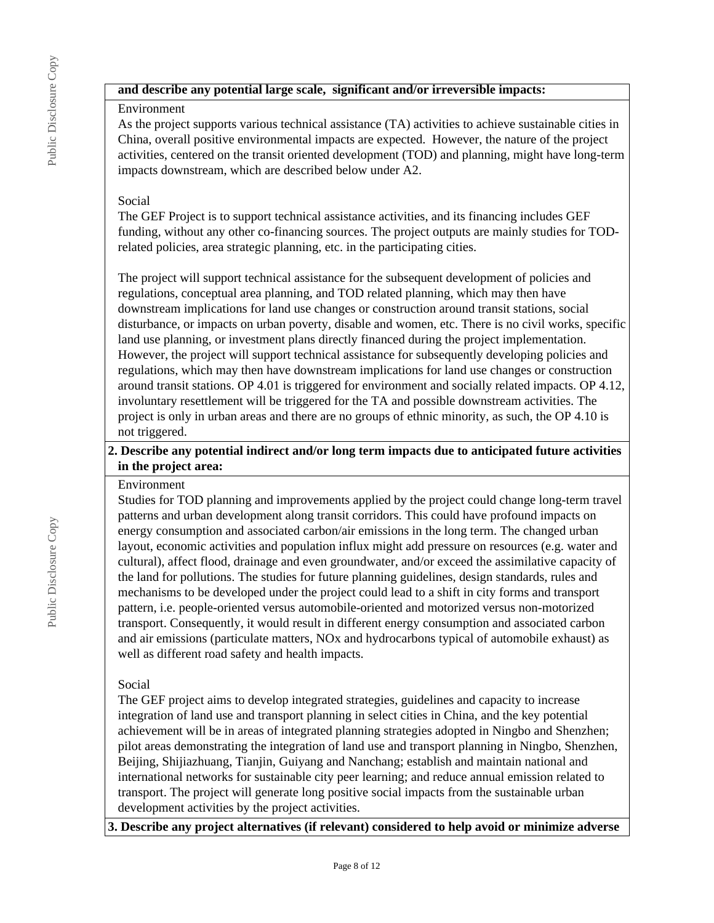## **and describe any potential large scale, significant and/or irreversible impacts:**

#### Environment

As the project supports various technical assistance (TA) activities to achieve sustainable cities in China, overall positive environmental impacts are expected. However, the nature of the project activities, centered on the transit oriented development (TOD) and planning, might have long-term impacts downstream, which are described below under A2.

## Social

The GEF Project is to support technical assistance activities, and its financing includes GEF funding, without any other co-financing sources. The project outputs are mainly studies for TODrelated policies, area strategic planning, etc. in the participating cities.

The project will support technical assistance for the subsequent development of policies and regulations, conceptual area planning, and TOD related planning, which may then have downstream implications for land use changes or construction around transit stations, social disturbance, or impacts on urban poverty, disable and women, etc. There is no civil works, specific land use planning, or investment plans directly financed during the project implementation. However, the project will support technical assistance for subsequently developing policies and regulations, which may then have downstream implications for land use changes or construction around transit stations. OP 4.01 is triggered for environment and socially related impacts. OP 4.12, involuntary resettlement will be triggered for the TA and possible downstream activities. The project is only in urban areas and there are no groups of ethnic minority, as such, the OP 4.10 is not triggered.

## **2. Describe any potential indirect and/or long term impacts due to anticipated future activities in the project area:**

#### Environment

Studies for TOD planning and improvements applied by the project could change long-term travel patterns and urban development along transit corridors. This could have profound impacts on energy consumption and associated carbon/air emissions in the long term. The changed urban layout, economic activities and population influx might add pressure on resources (e.g. water and cultural), affect flood, drainage and even groundwater, and/or exceed the assimilative capacity of the land for pollutions. The studies for future planning guidelines, design standards, rules and mechanisms to be developed under the project could lead to a shift in city forms and transport pattern, i.e. people-oriented versus automobile-oriented and motorized versus non-motorized transport. Consequently, it would result in different energy consumption and associated carbon and air emissions (particulate matters, NOx and hydrocarbons typical of automobile exhaust) as well as different road safety and health impacts.

## Social

The GEF project aims to develop integrated strategies, guidelines and capacity to increase integration of land use and transport planning in select cities in China, and the key potential achievement will be in areas of integrated planning strategies adopted in Ningbo and Shenzhen; pilot areas demonstrating the integration of land use and transport planning in Ningbo, Shenzhen, Beijing, Shijiazhuang, Tianjin, Guiyang and Nanchang; establish and maintain national and international networks for sustainable city peer learning; and reduce annual emission related to transport. The project will generate long positive social impacts from the sustainable urban development activities by the project activities.

**3. Describe any project alternatives (if relevant) considered to help avoid or minimize adverse**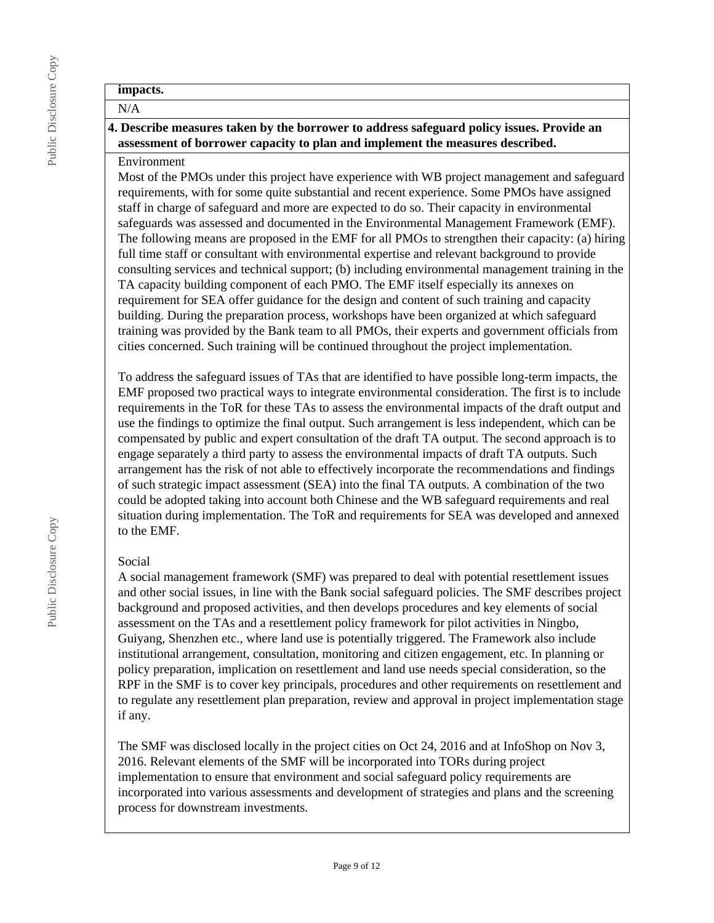# **impacts.** N/A **4. Describe measures taken by the borrower to address safeguard policy issues. Provide an**

**assessment of borrower capacity to plan and implement the measures described.**

#### Environment

Most of the PMOs under this project have experience with WB project management and safeguard requirements, with for some quite substantial and recent experience. Some PMOs have assigned staff in charge of safeguard and more are expected to do so. Their capacity in environmental safeguards was assessed and documented in the Environmental Management Framework (EMF). The following means are proposed in the EMF for all PMOs to strengthen their capacity: (a) hiring full time staff or consultant with environmental expertise and relevant background to provide consulting services and technical support; (b) including environmental management training in the TA capacity building component of each PMO. The EMF itself especially its annexes on requirement for SEA offer guidance for the design and content of such training and capacity building. During the preparation process, workshops have been organized at which safeguard training was provided by the Bank team to all PMOs, their experts and government officials from cities concerned. Such training will be continued throughout the project implementation.

To address the safeguard issues of TAs that are identified to have possible long-term impacts, the EMF proposed two practical ways to integrate environmental consideration. The first is to include requirements in the ToR for these TAs to assess the environmental impacts of the draft output and use the findings to optimize the final output. Such arrangement is less independent, which can be compensated by public and expert consultation of the draft TA output. The second approach is to engage separately a third party to assess the environmental impacts of draft TA outputs. Such arrangement has the risk of not able to effectively incorporate the recommendations and findings of such strategic impact assessment (SEA) into the final TA outputs. A combination of the two could be adopted taking into account both Chinese and the WB safeguard requirements and real situation during implementation. The ToR and requirements for SEA was developed and annexed to the EMF.

#### Social

A social management framework (SMF) was prepared to deal with potential resettlement issues and other social issues, in line with the Bank social safeguard policies. The SMF describes project background and proposed activities, and then develops procedures and key elements of social assessment on the TAs and a resettlement policy framework for pilot activities in Ningbo, Guiyang, Shenzhen etc., where land use is potentially triggered. The Framework also include institutional arrangement, consultation, monitoring and citizen engagement, etc. In planning or policy preparation, implication on resettlement and land use needs special consideration, so the RPF in the SMF is to cover key principals, procedures and other requirements on resettlement and to regulate any resettlement plan preparation, review and approval in project implementation stage if any.

The SMF was disclosed locally in the project cities on Oct 24, 2016 and at InfoShop on Nov 3, 2016. Relevant elements of the SMF will be incorporated into TORs during project implementation to ensure that environment and social safeguard policy requirements are incorporated into various assessments and development of strategies and plans and the screening process for downstream investments.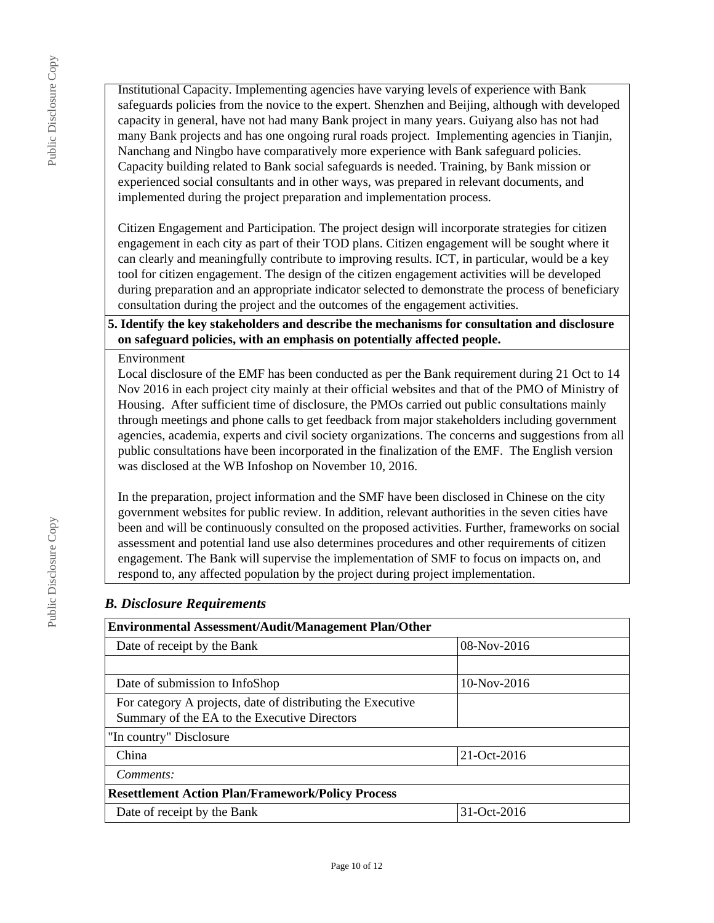Public Disclosure Copy Public Disclosure Copy

Institutional Capacity. Implementing agencies have varying levels of experience with Bank safeguards policies from the novice to the expert. Shenzhen and Beijing, although with developed capacity in general, have not had many Bank project in many years. Guiyang also has not had many Bank projects and has one ongoing rural roads project. Implementing agencies in Tianjin, Nanchang and Ningbo have comparatively more experience with Bank safeguard policies. Capacity building related to Bank social safeguards is needed. Training, by Bank mission or experienced social consultants and in other ways, was prepared in relevant documents, and implemented during the project preparation and implementation process.

Citizen Engagement and Participation. The project design will incorporate strategies for citizen engagement in each city as part of their TOD plans. Citizen engagement will be sought where it can clearly and meaningfully contribute to improving results. ICT, in particular, would be a key tool for citizen engagement. The design of the citizen engagement activities will be developed during preparation and an appropriate indicator selected to demonstrate the process of beneficiary consultation during the project and the outcomes of the engagement activities.

## **5. Identify the key stakeholders and describe the mechanisms for consultation and disclosure on safeguard policies, with an emphasis on potentially affected people.**

#### Environment

Local disclosure of the EMF has been conducted as per the Bank requirement during 21 Oct to 14 Nov 2016 in each project city mainly at their official websites and that of the PMO of Ministry of Housing. After sufficient time of disclosure, the PMOs carried out public consultations mainly through meetings and phone calls to get feedback from major stakeholders including government agencies, academia, experts and civil society organizations. The concerns and suggestions from all public consultations have been incorporated in the finalization of the EMF. The English version was disclosed at the WB Infoshop on November 10, 2016.

In the preparation, project information and the SMF have been disclosed in Chinese on the city government websites for public review. In addition, relevant authorities in the seven cities have been and will be continuously consulted on the proposed activities. Further, frameworks on social assessment and potential land use also determines procedures and other requirements of citizen engagement. The Bank will supervise the implementation of SMF to focus on impacts on, and respond to, any affected population by the project during project implementation.

## *B. Disclosure Requirements*

| <b>Environmental Assessment/Audit/Management Plan/Other</b>                                                 |               |  |  |  |
|-------------------------------------------------------------------------------------------------------------|---------------|--|--|--|
| Date of receipt by the Bank                                                                                 | $08-Nov-2016$ |  |  |  |
|                                                                                                             |               |  |  |  |
| Date of submission to InfoShop                                                                              | $10-Nov-2016$ |  |  |  |
| For category A projects, date of distributing the Executive<br>Summary of the EA to the Executive Directors |               |  |  |  |
| "In country" Disclosure                                                                                     |               |  |  |  |
| China                                                                                                       | 21-Oct-2016   |  |  |  |
| Comments:                                                                                                   |               |  |  |  |
| <b>Resettlement Action Plan/Framework/Policy Process</b>                                                    |               |  |  |  |
| 31-Oct-2016<br>Date of receipt by the Bank                                                                  |               |  |  |  |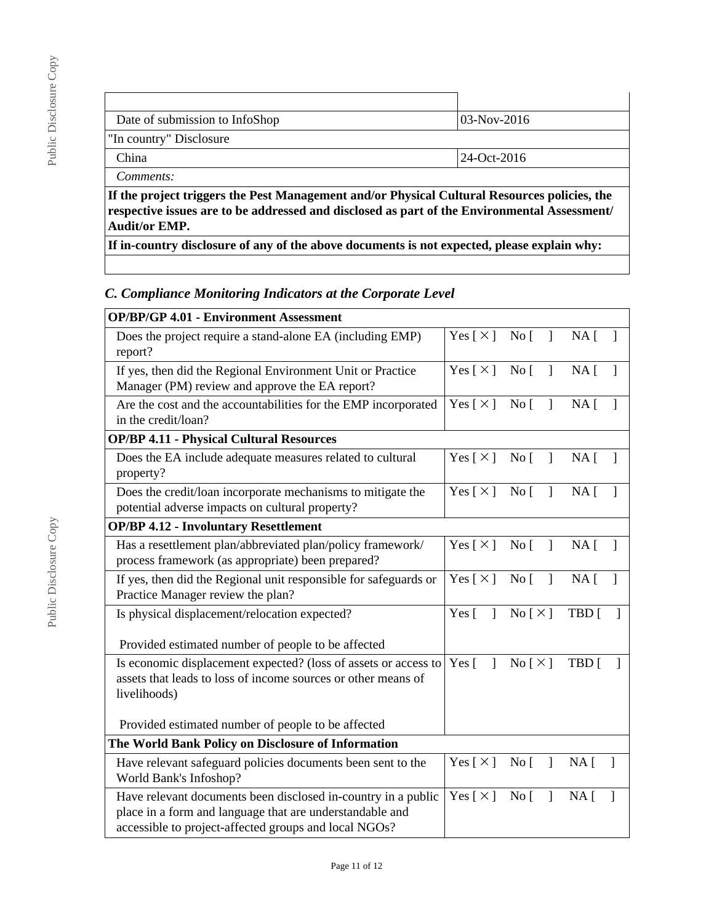| Date of submission to InfoShop                                                                                                                                                               | 03-Nov-2016 |  |  |
|----------------------------------------------------------------------------------------------------------------------------------------------------------------------------------------------|-------------|--|--|
| "In country" Disclosure                                                                                                                                                                      |             |  |  |
| China                                                                                                                                                                                        | 24-Oct-2016 |  |  |
| Comments:                                                                                                                                                                                    |             |  |  |
| If the project triggers the Pest Management and/or Physical Cultural Resources policies, the<br>respective issues are to be addressed and disclosed as part of the Environmental Assessment/ |             |  |  |

**Audit/or EMP.**

**If in-country disclosure of any of the above documents is not expected, please explain why:**

# *C. Compliance Monitoring Indicators at the Corporate Level*

| <b>OP/BP/GP 4.01 - Environment Assessment</b>                                                                                                                                      |                                          |                                                               |                                         |              |
|------------------------------------------------------------------------------------------------------------------------------------------------------------------------------------|------------------------------------------|---------------------------------------------------------------|-----------------------------------------|--------------|
| Does the project require a stand-alone EA (including EMP)<br>report?                                                                                                               | Yes [×] No [ ]                           |                                                               | $NA \lceil$                             |              |
| If yes, then did the Regional Environment Unit or Practice<br>Manager (PM) review and approve the EA report?                                                                       | Yes $[\times]$ No $[\ ]$                 |                                                               | $NA \lceil$<br>$\overline{\phantom{a}}$ |              |
| Are the cost and the accountabilities for the EMP incorporated<br>in the credit/loan?                                                                                              | Yes $[\times]$ No [                      | $\mathbf{I}$                                                  | NA <sub>1</sub><br>$\mathbf{1}$         |              |
| <b>OP/BP 4.11 - Physical Cultural Resources</b>                                                                                                                                    |                                          |                                                               |                                         |              |
| Does the EA include adequate measures related to cultural<br>property?                                                                                                             | Yes $[\times]$ No [                      | $\mathbf{I}$                                                  | NA <sub>1</sub><br>$\mathbf{1}$         |              |
| Does the credit/loan incorporate mechanisms to mitigate the<br>potential adverse impacts on cultural property?                                                                     | Yes $\lceil \times \rceil$               | $\overline{N}$ o<br>$\mathbf{I}$                              | NA <sub>1</sub>                         | $\mathbf{I}$ |
| <b>OP/BP 4.12 - Involuntary Resettlement</b>                                                                                                                                       |                                          |                                                               |                                         |              |
| Has a resettlement plan/abbreviated plan/policy framework/<br>process framework (as appropriate) been prepared?                                                                    | Yes $\lceil \times \rceil$ No $\lceil$ ] |                                                               | NA <sub>1</sub><br>$\mathbf{1}$         |              |
| If yes, then did the Regional unit responsible for safeguards or<br>Practice Manager review the plan?                                                                              | Yes [ $\times$ ]                         | No [<br>$\mathbf{I}$                                          | NA [                                    | 1            |
| Is physical displacement/relocation expected?                                                                                                                                      |                                          | $\operatorname{No} \left[ \times \right]$                     | TBD [                                   |              |
| Provided estimated number of people to be affected                                                                                                                                 |                                          |                                                               |                                         |              |
| Is economic displacement expected? (loss of assets or access to<br>assets that leads to loss of income sources or other means of<br>livelihoods)                                   |                                          | $\text{No} \lceil \times \rceil$                              | TBD [                                   |              |
| Provided estimated number of people to be affected                                                                                                                                 |                                          |                                                               |                                         |              |
| The World Bank Policy on Disclosure of Information                                                                                                                                 |                                          |                                                               |                                         |              |
| Have relevant safeguard policies documents been sent to the<br>World Bank's Infoshop?                                                                                              | Yes [ $\times$ ]                         | No <sub>[</sub> ]<br>$\mathbf{I}$                             | NA <sub>1</sub><br>-1                   |              |
| Have relevant documents been disclosed in-country in a public<br>place in a form and language that are understandable and<br>accessible to project-affected groups and local NGOs? |                                          | Yes $\lceil \times \rceil$<br>No <sub>1</sub><br>$\mathbf{I}$ | NA [<br>1                               |              |